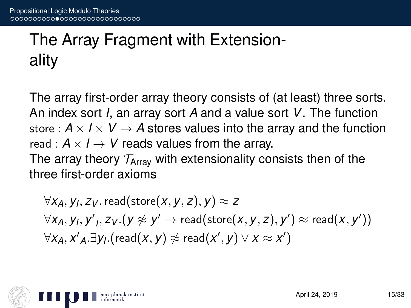## The Array Fragment with Extensionality

The array first-order array theory consists of (at least) three sorts. An index sort *I*, an array sort *A* and a value sort *V*. The function store :  $A \times I \times V \rightarrow A$  stores values into the array and the function read :  $A \times I \rightarrow V$  reads values from the array. The array theory  $T_{\text{Array}}$  with extensionality consists then of the three first-order axioms

 $\forall$ *X<sub>A</sub>*, *y*<sub>I</sub>, *z*<sub>V</sub>. read(store(*x*, *y*, *z*), *y*)  $\approx$  *z*  $\forall$ *X<sub>A</sub>*, *y<sub>'</sub>*, *y'<sub>I</sub>*, *z<sub>V</sub>*.(*y*  $\not\approx$  *y'*  $\rightarrow$  read(store(*x*, *y*, *z*), *y'*)  $\approx$  read(*x*, *y'*))  $\forall$ *X<sub>A</sub>*, *X'*</sup> $_A$ . $\exists$ *Y*<sub>I</sub>.(read(*x*, *y*)  $\not\approx$  read(*x'*, *y*)  $\lor$  *x*  $\approx$  *x'*)

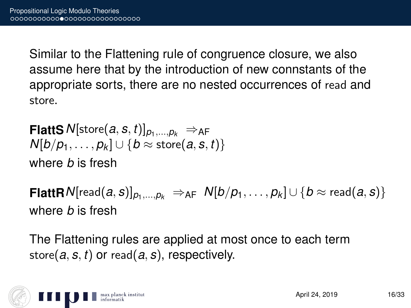Similar to the Flattening rule of congruence closure, we also assume here that by the introduction of new connstants of the appropriate sorts, there are no nested occurrences of read and store.

**FlattS**  $N[\text{store}(a, s, t)]_{p_1,...,p_k} \Rightarrow_{\text{AF}}$  $N[b/p_1, \ldots, p_k] \cup \{b \approx \text{store}(a, s, t)\}$ where *b* is fresh

**FlattR** N[read(*a*, *s*)]<sub>*p*1,...,*p*<sub>k</sub>  $\Rightarrow$  AF  $N[b/p_1, \ldots, p_k] \cup \{b \approx$  read(*a*, *s*)}</sub> where *b* is fresh

The Flattening rules are applied at most once to each term store(*a*, *s*, *t*) or read(*a*, *s*), respectively.